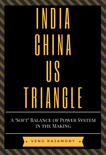# **ENTERNATION** GHINA IIS TRIANG LE

A 'SOFT' BALANCE OF POWER SYSTEM IN THE MAKING

VENU RAJAMONY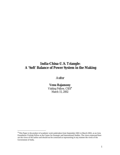# **India-China-U.S. Triangle: A 'Soft' Balance of Power System in the Making**

# *Author*

# **Venu Rajamony**

Visiting Fellow, CSIS<sup>∗</sup> March 15, 2002

 $\overline{a}$ 

<sup>∗</sup> This Paper is the product of academic work undertaken from September 2001 to March 2002, as an Asia Foundation Visiting Fellow at the Center for Strategic and International Studies. The views expressed here are the views of the author and should not be construed as representing in any manner the views of the Government of India.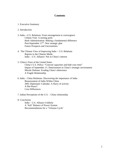# **Contents**

1. Executive Summary

# 2. Introduction

- 3. India **–** U.S. Relations: From estrangement to convergence Clinton Visit: A turning point Bush Administration: Making a fundamental difference Post-September 11<sup>th</sup>: New strategic glue Future Prospects and Uncertainties
- 4. The Chinese View of Improving India U.S. Relations Reports in the Chinese Media India – U.S. Alliance: Not in China's interest
- 5. China's Fears of the United States China's U.S. Policy: "Conceal capacities and bide your time" Impact of September 11: Deterioration in China's strategic environment Missile Defense: Eroding China's deterrence A Fragile Relationship
- 6. India China Relations: Discovering the importance of India Reassessment of India Within China 2001 Diplomatic Calendar: A flurry of activity A Hot Peace? Core Differences
- 7. Indian Perceptions of the U.S. China relationship
- 8. Conclusion

India – U.S. Alliance Unlikely A 'Soft' Balance of Power System Recommendations for a 'Virtuous Cycle'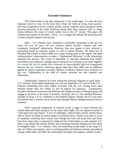# **Executive Summary**

The United States is the only superpower in the world today. It is also the most important power in Asia. At the same time, China and India are rising Asian powers. Each has a population of over a billion people, nuclear weapons, and is among the fastest growing economies in the world. Relations among these three countries will, to a large extent, influence the course of events within Asia in the  $21<sup>st</sup>$  century. This paper will explore some aspects of the India – China – U.S. triangle and identify the broad direction in which relations appear to be moving.

India – U.S. relations have witnessed a remarkable turnaround in the last two years. For over 50 years, the two countries shared "prickly" relations and were considered "estranged" democracies. However, they now appear to have achieved a partnership based on common values, as well as mutual interests. The India visit of President Bill Clinton in March 2000 was a major turning point in this regard. The Bush Administration's determination to make a "fundamental difference" in the relationship sustained this process. The events of September 11 and their aftermath have further succeeded in providing new strategic glue to bring the two countries even closer together. As a result, the last six months have witnessed an unprecedented high-level engagement between the two countries. Sanctions against India have been lifted and an ambitious agenda for future cooperation unveiled. Military to military relations have resumed in a big way. Collaboration in the field of counter terrorism has also acquired new dimensions.

Traditionally, Pakistan has been among the principal obstacles to good India – U.S. relations. Early Indian misgivings over the post September  $11<sup>th</sup>$  revival of the U.S. – Pakistan relationship have been largely overcome with the U.S. coming down upon Pakistan harder than ever before to end its support for militancy. Consequently, President Musharraf announced that Pakistan will change and that no Pakistani group will engage in terrorism in the name of Kashmir. Similarly, the U.S. has rebuffed Pakistan's attempts to bring it in as a mediator in the Kashmir dispute. Instead, the U.S. has taken the position that a solution can be found only through bilateral dialogue between the two countries.

With a growing congruence of interests across a range of issues between the United States and India, prospects for the future look bright. The war against terrorism is "well begun but only begun." A host of challenges confront India and the United States, both of whom are likely to remain targets of extremist forces. Within Asia, there is an arc of instability stretching from Central Asia through the Gulf, and South East and North East Asia, where there is potential for India and the United States to work together. U.S. plans to go ahead with missile defense and increasing economic linkages are also likely to strengthen India – U.S. relations. Thus, the relationship stands today on the verge of a take off. While uncertainties, such as continuing India and Pakistan tensions and political change within India, still affect the relationship, the larger trend appears unlikely to alter.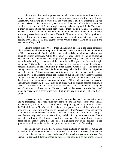China views this rapid improvement in India  $-$  U.S. relations with concern. A number of reports have appeared in the Chinese media, particularly from May through September 2001, noting this development and wondering if this new dynamic is targeted at China. These articles, in particular, have observed the rise of India and the benefits that could accrue to the United States through a strategic relationship with India. The subtext in many of these articles has in fact been whether India will do a "China" on China, i.e. whether it will forge a tacit alliance with the United States in the same manner China did in the early seventies against the Soviet Union. In China's perception, India, by virtue of its geo-political situation, naval capabilities, unresolved bilateral disputes and history of hostility with China, is an ideal country for the United States to have on its side in the eventuality of any conflict.

China's concern over a U.S. – India alliance must be seen in the larger context of China's deep-rooted fears with regard to the United States. China is fully aware that U.S. – China relations remain fragile and that issues such as Taiwan and human rights are not going to simply disappear. While U.S. policy towards China is one of combining engagement with containment and "keeping the powder dry", China has few illusions about the relationship. It is convinced that the ultimate U.S. goal is to "westernize, split and weaken" China. Even the policy of engagement is seen as a strategy to achieve a peaceful evolution of the Communist political system. China's larger and long-term strategy towards the United States is therefore "keep calm, lie low, hide your capacities and bide your time". China recognizes that it is not in a position to challenge the United States at present and instead should concentrate on building its comprehensive national strength. The events of September 11 and their aftermath have contributed to a radical deterioration in the strategic environment around China and enhanced its fears of encirclement. Moreover, the U.S.' plan to go ahead with its missile defense program is seen as a measure which leaves it with the difficult choice of either accepting the neutralization of its threat towards Taiwan as well as deterrence vis a vis the United States or engaging in a costly arms race which might lead it to unravel like the Soviet Union.

In recent years, there has been within China a fundamental reassessment of India and its importance. The factors which have contributed to this reassessment are a) India's nuclear tests b) India's success in multidirectional diplomacy, including in particular with the United States c) China's need for India to be a partner in the building of a multi polar world d) the decline of Pakistan as an asset and e) India's recent economic success. Diplomatic relations between India and China has seen a flurry of activity in the past year. Despite heightened tensions and military mobilization by the armed forces of India and Pakistan, Premier Zhu Rongji visited India in January 2002 and reaffirmed China's desire for friendship. China has also made a significant shift in its position on the question of Kashmir and moved from a pro–Pakistan stance to one of neutrality.

The Indian Government has welcomed these gestures on the part of China and assured it of India's commitment to an improved relationship. However, there remain several core bilateral issues between India and China which are yet to be resolved. For example, a) China still does not recognize the accession into India by the former princely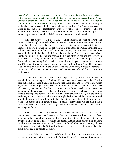state of Sikkim in 1975, b) there is continuing Chinese missile proliferation to Pakistan, c) the two countries are yet to complete the task of arriving at an agreed Line of Actual Control in border areas and d) China's has remained unwilling to come out in support of India's candidature for the U.N. Security Council. The failure of China to make progress on the above issues has resulted in many Indian analysts describing Chinese actions as an effort to lull India into complacency even as it takes steps to encircle India and undermine its security. Therefore, while the overall India – China relationship is on a path of improvement, a number of difficulties still remain to be addressed.

India has always seen a close U.S. – China relationship with misgiving and suspected that it might adversely affect her interests. This is because the pattern of prior 'triangular' dynamics saw the United States and China colluding against India. For example, there was a virtual entente between the United States and China during the 1971 India-Pakistan War, with the United States encouraging China to open a second front against India. Similarly, the United States chose to ignore Chinese nuclear and missile supply to Pakistan in the eighties because both were allies in battling the Soviets in Afghanistan. Further, as recent as in 1998, the two countries adopted a Joint Communiqué condemning Indian nuclear tests and using language that was seen in India as a U.S. attempt to confer upon China a supervisory role in South Asia. The improved relations India enjoys with both the United States and China today reduces the reasons for concern on India's part. India, however, will remain watchful of the U.S. – China relationship.

In conclusion, the U.S. – India partnership is unlikely to turn into any kind of formal alliance in coming years. Such an alliance is not in the interests of either. Besides, both India and the United States each have substantive interests vis-à-vis China which they would not like to jeopardize. What is more likely is the emergence of a 'soft balance of power' system among the three countries, in which each seeks to maneuver the maximum diplomatic space for itself and works to improve relations on both fronts without entering into formal alliances. Collaboration between two against the third is likely only on an issue-by-issue basis. For example, both India and the United States seek to end Chinese missile proliferation to Pakistan. Similarly, India and China may come together in pursuit of their common goal of a multi – polar world. On the other hand, a conflict between India and Pakistan might witness the United States and China joining hands against India.

Such a 'soft' balance of power system will not, however, be static and can shift from a "soft" system to a "hard" system or a "concert" between the three countries. Based on trends in the trilateral relationship outlined above, the critical determinant in the above process is likely to be Chinese policies and action. Hostile action on the part of China could turn the relationship into a "hard" system of formal alliances. In contrast, Chinese willingness to work with the U.S. and India on issues such as proliferation to Pakistan could ensure that it turns into a concert.

In view of the above scenario, India's goal should be to work towards a virtuous cycle of improving relations with both the U.S. and China. To encourage this outcome,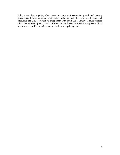India, more than anything else, needs to jump start economic growth and revamp governance. It must continue to strengthen relations with the U.S. on all fronts and encourage the U.S. to sustain its engagement with South Asia. Finally, it must reassure China that improving India – U.S. relations are not directed at it even as it presses China to address core differences in bilateral relations on a priority basis.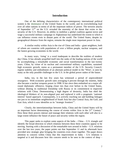# **Introduction**

One of the defining characteristics of the contemporary international political system is the dominance of the United States in the world, and its overwhelming lead over all other nations in terms of all the important indices of power. The terrorist attacks of September  $11<sup>th</sup>$  on the U.S. revealed the enormity of the threat that exists to the security of the U.S. However, its ability to mobilize a global coalition against terror and wage a successful military campaign in Afghanistan has underlined the extent to which it can influence events even in distant parts of the world. The United States, despite its geographical distance from the region, remains the single most important power in Asia.

A similar reality within Asia is the rise of China and India – giant neighbors, both of whom are countries with populations of over a billion people, nuclear weapons, and the fastest growing economies in the world.

In many ways, 'rising' is a word inadequate to describe the realities of modern day China. It has already propelled itself into the ranks of the leading nations of the world by accomplishing a remarkable economic and social transformation in the last twenty years. China, by virtue of its nuclear and conventional military capabilities, sustained high economic growth, status as a permanent member of the U.N. Security Council, regime stability and embodiment of an alternate political model to the "West', is seen by many as the only possible challenger to the U.S. in the global power stakes of the future.

India, too, in the last few years has witnessed a period of unprecedented resurgence. With economic growth rates averaging 6 percent through the nineties, India also became a nuclear weapons power in 1998. It has since then embarked on a major allround diplomatic offensive, forging closer ties than ever before to the United States, without diluting its traditional friendship with Russia or its commitment to improved relations with China. Demonstrating a high degree of dexterity, India has shed the ideological blinkers of its non–aligned past and replaced it with a pragmatic 'national interest' based approach. Consequently, it is actively reaching out and building linkages not just to its immediate neighborhood of South Asia but also Central Asia, the Gulf, and East Asia, which it now identifies as its "strategic frontiers"<sup>1</sup>.

Clearly, the interrelationships between India, China and the United States will be an important factor determining the course of events within Asia in the  $21<sup>st</sup>$  Century.<sup>2</sup> How these three powers interact and manage their relations with each other will also to a large extent influence the future of peace and security within the region.

This paper seeks to explore some aspects of the India – China – U.S. triangle and identify the broad direction in which relations between these three countries appear to be moving. Starting with a discussion of the remarkable turn around in India – U.S. relations over the last two years, the paper points out that September 11 and its aftermath have provided new strategic glue bringing the countries even closer together. The paper draws attention to concern within China that this improvement in India – U.S. relations is targeted at it and discusses how this concern needs to be seen in the context of deep -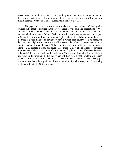rooted fears within China of the U.S. and its long term intentions. It further points out that the post September 11 deterioration in China's strategic situation and U.S plans for a missile defense system fuel Chinese suspicions in the above regard.

The paper then proceeds to discuss a fundamental reassessment in China's policy towards India that has occurred in the last few years as well as Indian perceptions of U.S. - China relations. The paper concludes that India and the U.S. are unlikely to enter into any formal alliance against Beijing. Both countries have substantive interests with respect to China that they would not like to damage. Instead, what is likely to emerge between the three is a "soft balance of power" system<sup>3</sup> in which each country seeks to maneuver the maximum diplomatic space for itself vis-à-vis the other two countries, without entering into any formal alliances. At the same time, by virtue of the fact that the India – China – U.S. triangle is today at a stage where India -U.S. relations appear set for rapid improvement while U.S. – China relations remain fragile and core differences between India and China are still to be addressed, future Chinese policies and actions will be the key factor in determining whether the system will turn from a "soft" system to a "hard" system of formal alliances or alternately a 'concert' between the three powers. The paper further argues that India's goal should be the initiation of a 'virtuous cycle' of improving relations with both the U.S. and China.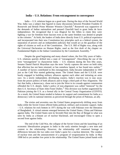# **India – U.S. Relations: From estrangement to convergence**

India -- U.S. relations began on a good note. During the days of the Second World War, India was a subject that figured in many discussions between President Franklin D. Roosevelt and British Prime Minister Winston Churchill.<sup>4</sup> Roosevelt was supportive of the demands of Indian nationalism and pressed Churchill hard to grant India de facto independence. He recognized that it was illogical for the Allies to claim they were fighting a war for freedom from fascism even as the same freedom was denied to people in the colonies.<sup>5</sup> At birth, the leaders of India drew directly from U.S. political experience and incorporated into their new Constitution key principles such as a federal system, the separation of powers and an independent judiciary that would act as the guardian of the rights of citizens as well as of the Constitution. The U.S. Bill of Rights was, along with the Universal Declaration on Human Rights, used as the first draft of the chapter on Fundamental Rights in the Indian Constitution by the Constituent Assembly.<sup>6</sup>

Despite the good beginning and many shared values, the first fifty years of India - U.S. relations quickly drifted into a state of "estrangement". Describing the use of the term "estrangement" to characterize India -- U.S. relations during the first fifty years, Senator Daniel Patrick Moynihan says the term "nicely captures the sense on both sides that affection has not been returned, or has somehow lapsed, or has found new outlets."<sup>7</sup> A number of factors contributed to this estrangement. India became independent in 1947 just as the Cold War started gathering steam. The United States and the U.S.S.R. were busily engaged in building military alliances against each other and initiating an arms race. As a newly independent, developing country, India's reaction was to stay away from the power politics of both alliances and to forge a third path of Non Alignment. The fact that India, a democracy, chose not to join the West in its crusade against communism offended the U.S. deeply. India's policy of non–alignment was called "immoral" by the then U.S. Secretary of State John Foster Dulles.<sup>8</sup> This division was further augmented by Pakistan joining the U.S. as a formal ally in the Central Treaty Organization (CENTO). As a result, the United States tended to balance its support and commitment for India as a democracy with its national interests as perceived through the prism of Pakistan, an ally.

The sixties and seventies saw the United States progressively drifting away from India while the Soviet Union offered India political, military and economic support. India – U.S. relations hit rock bottom in 1971 during the war with Pakistan over the liberation of Bangladesh. A virtual entente emerged between the United States, China and Pakistan against India. The United States sent its Seventh Fleet into the Bay of Bengal in what was seen by India as a blatant act of nuclear blackmail, and encouraged China to open a second front against India.

The end of the Cold War, the collapse of the Soviet Union and the launching of an economic liberalization program in India in the early nineties brought a new tone and content to the relationship. However, the relationship still remained hostage to differences between the two sides over India's quest for a nuclear deterrent. The conduct of nuclear tests and the announcement of a program of weaponization by India in May 1998 led to yet another low point in the relationship. The United States joined hands with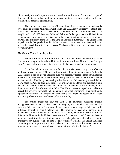China to rally the world against India and to call for a roll - back of its nuclear program.<sup>9</sup> The United States further went on to impose military, economic, and scientific and technological sanctions against India.

The commencement of a series of intense discussions between the two sides at the level of Indian Foreign Minister Jaswant Singh and U.S. Deputy Secretary of State Strobe Talbott over the next two years resulted in a slow normalization of the relationship. The Kargil conflict of 1999 between India and Pakistan further provided the United States with an opportunity to play a positive role in the subcontinent by calling for a withdrawal of Pakistani infiltrators from across the Line of Control in Kashmir.<sup>10</sup> The United States reaped considerable goodwill within India as a result. In the meantime, Pakistan lurched into further instability with General Pervez Musharraf taking power in a military coup in November 1999.

#### *The Clinton Visit – A turning point*

The visit to India by President Bill Clinton in March 2000 can be described as the first major turning point in India – U.S. relations in recent times. This visit, the first by a U.S. President to India in almost 22 years<sup>11</sup>, marked a major change in U.S. policy.

From the Indian perspective, the fact that the visit was taking place after the unpleasantness of the May 1998 nuclear tests was itself a major achievement. Further, the U.S. admitted it had ne glected India for over two decades.<sup>12</sup> It also expressed willingness to end the situation wherein the entire relationship was held hostage to differences on the nuclear question. Finally, by undertaking a five day visit to India and only a transit halt of a few hours in Pakistan (the main purpose of which was to address the Pakistani public and call for a return to democracy), the United States made it clear that its priority within South Asia would be relations with India. The United States accepted that India, the largest democracy in the world and a potentially important economic partner could not be equated with Pakistan - a country one seventh the size of India and bedeviled by serious economic problems as well as chronic political instability.

The United States too saw the visit as an important milestone. Despite unhappiness over India's nuclear weapons program, the United States realized that isolating India was not in its interest. It was much better to engage India and build influence through a strong relationship. The impressive economic growth India maintained during the nineties of around 6 percent, its dynamic IT industry, with close links to the IT sector in the United States, and the fact that the United States had become both the largest investor and trading partner in India, also created a clear economic imperative for putting relations onto a new footing.<sup>13</sup> Finally, the Indian American community (with significant economic stakes in both countries and a vested interest in bringing the two toge ther) also played an important role in U.S. calculations<sup>14</sup>.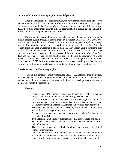# *Bush Administration – Making a "fundamental difference"*

Since the inauguration of President Bush, the new Administration took office with a determination to make a fundamental difference in its relations with India.<sup>15</sup> During the course of the visit of Indian Foreign Minister Jaswant Singh to the United States in April 2001, the United States made clear to India its determination to sustain and strengthen the efforts initiated by the previous Administration.

The United States around the same time also announced its plans for developing a missile defense system through a speech made by President Bush on May 1, 2001. U.S. National Security Advisor Condoleeza Rice, in an exceptional gesture, spoke to Foreign Minister Singh on the telephone and briefed India on its missile defense policy. After the speech, India extended a welcome to certain elements in President Bush's statement, such as the offer of unilateral reductions in the U.S.' nuclear arsenal, the call for a new strategic structure to replace the Mutually Assured Destruction doctrine of the Cold War days and the offer to consult all the countries concerned about the program. The United States then dispatched Deputy Secretary of State Richard Armitage to visit India along with Japan and ROK for further consultations on the subject, marking the first time the U.S. was according India the status of an important partner in Asia on strategic issues.

# *Post-September 11 – New strategic glue*

It was in this context of rapidly improving India – U.S. relations that the tragedy of September 11 occurred. To assess the impact on India – U.S. relations of September 11 and its aftermath, it is necessary to list some of the important developments of the last six months relevant to the discussion.

These are:

- Pakistan, under U.S. pressure, was forced to give up its policy of support for the Taliban and join the global coalition against terrorism.
- As a result of U.S. action in Afghanistan, the Taliban regime was removed from power and a new interim administration installed in its place. Al-Qaeda terrorist training camps in Afghanistan have also been destroyed.
- Terrorists attacked the Legislative Assembly of the Indian State of Jammu and Kashmir in Srinagar on October 1, 2001
- An attack was launched by terrorists on the Indian Parliament on December 13, 2001
- Two Pakistan based terrorist organizations- Lashkar-e-Toiba and Jaish-e-Mohammed were identified by India as responsible for the attack on the Indian Parliament
- The U.S. Government placed both the above two groups on the list of terrorist organizations.
- India ordered the forward deployment of its armed forces on the borders with Pakistan and demanded that Pakistan take effective measures to end cross - border infiltration by terrorists from within Pakistan as well as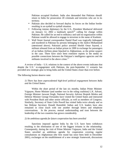Pakistan occupied Kashmir. India also demanded that Pakistan should return to India for prosecution 20 criminals and terrorists who are in its territory.

- Pakistan also decided to forward deploy its forces on the Indian border resulting in an eyeball to eyeball situation.
- Following intense diplomacy by the U.S., President Musharraf delivered on January 12, 2002 a landmark speech<sup>16</sup> calling for change within Pakistan. He called for an end to militancy and said no organization within Pakistan would be allowed to engage in terrorism in the name of Kashmir.
- Wall Street Journal correspondent Daniel Pearl was tragically kidnapped and murdered in Pakistan by persons belonging to the Jaish-e-Mohammed (mentioned above). Pakistani police arrested Sheikh Omar Sayeed, a militant released from an Indian prison in 1999 in exchange for passengers of an Indian Airlines plane hijacked to Afghanistan, as the prime suspect in the case. There have since been extensive reports in the media on possible connections between the Pakistan's intelligence agencies and the militants involved in the above crime.<sup>17</sup>

A review of India – U.S. relations in the context of the above events indicates that despite the U.S.' re-engagement with Pakistan, the post-September 11 scenario has provided new strategic glue to bring India and the United States closer than ever before.

The following factors deserve note:

# *1) There has been unprecedented high-level political engagement between India and the United States.*

Within the short period of the last six months, Indian Prime Minister Vajpayee, Home Minister (and number two in the ruling coalition) L.K. Advani, Foreign Minister Jaswant Singh, National Security Advisor Brajesh Mishra and Defense Minister George Fernandes have visited the United States and interacted with President Bush and other senior officials, as well as members of Congress. Similarly, Secretary of State Colin Powell has visited India twice already and so has Defense Secretary Donald Rumsfeld. Indian and U.S. leaders have also remained in close touch with one another through letters and telephone conversations. In the process, mutual understanding and trust between the leadership of the two countries has grown considerably.

# *2) An ambitious agenda for future cooperation has been unveiled*

Sanctions imposed against India by the U.S. have been withdrawn resulting in the elimination of one of the biggest irritants in the relationship. Consequently, during the visit of Prime Minister Vajpayee, India and the United States unveiled an ambitious agenda for cooperation covering regular consultations on Afghanistan (the first round has since been held in December 2001), exchanges on the establishment of a new strategic framework, discussions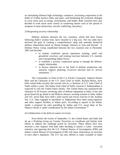on stimulating bilateral high technology commerce, increasing cooperation in the fields of civilian nuclear safety and space, and broadening the economic dialogue to cover areas such as energy, environment, and health. Both countries have also decided to work much more closely in countering threats such as the spread of weapons of mass destruction, narcotic trafficking, and piracy.

# *3) Burgeoning security relationship*

Defense relations between the two countries, which had been frozen following India's nuclear tests, have resumed in a big way. The two sides have declared the goal of creating a comprehensive, deep and mutually beneficial defense relationship based on shared strategic interests in Asia and beyond. A Defense Policy Group established between the two countries met in December 2001 and decided:

- to initiate combined special operations training, small unit ground/air exercises, and training exercises between U.S. marines and corresponding Indian forces;
- to establish a security cooperation group to manage the defense supply relationship;
- to discuss bilateral ties in the field of defense production and research, military planning, tri-service doctrine and tri -service institutions .<sup>18</sup>

The Commander in Chief of the U.S. Pacific Command, Admiral Dennis Blair and the Chairman of the U.S. Joint Chief of Staffs, Richard Myers, have both visited India recently (the second visit by a Chairman of U.S. Joint Chief of Staffs within a year). The Indian Joint Chief of Staffs, General S. Padmanabhan is expected to visit the United States shortly. The United States has announced the clearance of 20 licenses involving sales of defense equipment to India. It has also given Israel the go ahead to sell Phalcon advance warning systems to India. Indian and U.S. naval ships have held a joint search and rescue exercise in the Arabian Sea. U.S. ships engaged in operations in Afghanistan have been using logistical and other support facilities at Indian ports. According to reports in the Indian media, a proposal for joint patrolling by Indian and U.S. naval ships of the Malacca Straits is under consideration by the Indian Government.<sup>19</sup>

#### *4) Collaboration in the field of counter terrorism*

Even before the events of September 11, the United States and India had set up a Working Group on Counter Terrorism, to coordinate and initiate joint efforts to address the challenge posed by terrorism. These efforts have now received a new impetus with both sides deciding to launch a Cyber -terrorism initiative and agreeing that the U.S. Federal Bureau of Investigation (FBI) and Indian Central Bureau of Investigation (CBI) will share information on terrorists in each other's databases. The U.S. has also offered to make available to India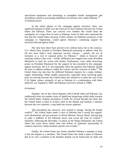specialized equipment and technology to strengthen border management and surveillance aimed at preventing infiltration of terrorists from within Pakistan.<sup>20</sup> *5) Pakistan factor*

In the initial phases of the campaign against terrorism, there was significant disquiet in India over the renewal of close relations between the United States and Pakistan. There was concern over whether this would mean the resumption of a major flow of arms to Pakistan. Some in India also expressed the fear that the United States, because of their reliance on Pakistani assistance in the campaign in Afghanistan, would ignore Pakistan's continuing support for terrorism directed against India.

Not only have these fears proved to be without basis, but to the contrary, U.S. efforts have resulted in President Musharraf promising to address what has till now been India's most important security concern – namely, the use of terrorism as a tool of national policy by Pakistan.<sup>21</sup> (India is however still awaiting evidence that cross – border infiltration has stopped and wants President Musharraf to back his words with deeds). Furthermore, even while showering praise on President Musharraf for the support he has extended to the campaign against terrorism, the U.S. has repeatedly taken the position that Pakistan should do more to address militancy within the country and the concerns of India.<sup>22</sup> The United States has also thus far deflected Pakistani requests for a major military supply relationship. While smaller transactions, especially those involving spare parts are moving forward, the United States has refused to re-open the case of the F-16 fighter planes, primarily of use to Pakistan in a confrontation with India (delivery was stopped in 1990, and Pakistan received a refund in 1998).

# *6) Kashmir*

Kashmir, one of the critical disputes which divide India and Pakistan, has traditionally been yet another cause of significant misgivings within India towards the United States. Popular perception in India for several decades has been that the United States is keen to involve itself in the dispute and mediate a solution between the two countries, a step India has always opposed.

This perception has, however, now started to change. During the Kargil conflict<sup>23</sup>, the United States made it clear to Pakistan that it would not support such adventurism and put pressure on Prime Minister Nawaz Sharif, forcing him to order a pullback of the Pakistani forces sent across the Line of Control.<sup>24</sup> Similarly, following the December 13 attack on the Indian Parliament, the United States has come down harder than ever before on Pakistani sponsorship of violence and terror within Kashmir and the rest of India.<sup>25</sup>

Finally, the United States has clearly rebuffed Pakistan's attempts to drag it into the dispute as a mediator. The United States has made it plain to Pakistan that in its view a solution to the Kashmir dispute can be found only by India and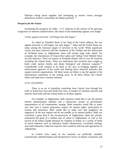Pakistan sitting down together and attempting to resolve issues amongst themselves (which is essentially the Indian position).  $26$ 

# *Prospects for the Future*

Examining the prospects for India  $- U.S.$  relations in the context of the growing congruence of interests outlined above, the future of the relationship appears very bright.

# *1) War against terrorism "well begun but only begun"*

As stated by President Bush in his State of the Union address, the war against terrorism is well begun, but only begun.  $27$  India and the United States are today among the foremost targets of terrorism in the world. While significant victory has been achieved with the overthrow of the Taleban and the destruction of Al-Qaeda bases in Afghanistan, there still remain huge tasks ahead. For example, the whereabouts of Osama Bin Laden and Taliban Chief Mullah Omar are still unknown. There are reports of Al-Qaeda sleeper cells in over 60 countries including the United States. There are indications that terrorists have sought to build crude nuclear bombs and obtain biological and chemical weapons.<sup>28</sup> Considerable work remains to be done in the area of bringing together law enforcement agencies of the world and shutting down financial networks that support terrorist organizations. All these issues are likely to top the agenda of the international community in the coming years. In all these efforts, the United States and India have common interests.

# *2) Arc of instability*

There is an arc of instability stretching from Central Asia through the Gulf, to South East Asia and North East Asia. A number of common concerns and interests bind India and the United States in all these regions.

For example, in Afghanistan, both countries would like to see the present interim administration stabilize and a democratic system of government, representative of all communities, emerge. Both countries would like to make sure that such a system guarantees respect for human rights, particularly of women and minorities. Both would like to make sure that neighbors are supportive of the new regime and do not meddle in its internal politics. Both can contribute a great deal to the reconstruction of Afghanistan. India has already announced the grant of a million tons of wheat to Afghanistan, as well as the revival of the Indira Gandhi Hospital for Children in Kabul. In a variety of fields of social endeavor such as education, health infrastructure, vocational training, and small industries, India has expertise that would be relevant and appropriate to Afghanistan.

In Central Asia, many of the countries are politically unstable, economically underdeveloped and threatened by forces of Islamic extremism and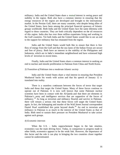militancy. India and the United States share a mutual interest in seeing peace and stability in the region. Both also have a common interest in ensuring that the energy resources of the region are developed and brought to the international market. In the Persian Gulf, there are many countries, who despite being allies of the United States, have been among the principal financial sponsors of Islamic groups worldwide. Both India and the United States face the same dilemma with regard to these countries. They are both critically dependent on the oil resources of this region. India also has over three million expatriates living and working in the Gulf countries. Yet both India and the United States would like to see an end to the support for militancy that has emanated from the region.

India and the United States would both like to ensure that there is free flow of energy from the Gulf and that the sea-lanes of the Indian Ocean are secure and free of piracy. Both have an interest in the stability of the Philippines and Indonesia, which are in India's immediate neighborhood and have witnessed high levels of terrorism in recent times.

Finally, India and the United States share a common interest in seeking an end to nuclear and missile proliferation to Pakistan from China and North Korea.

#### *3) Transition of Pakistan into a moderate Islamic society*

India and the United States share a vital interest in ensuring that President Musharraf backs his words with action and that his speech of January 12 is translated into reality.

There is a seamless continuum between the forces of terror that target India and those that target the United States. Many of these forces continue to operate out of Pakistan. It is now well known that some Pakistani nuclear scientists have been in contact with the Al-Qaeda and that there are elements in Pakistan's army and intelligence services that are supportive of the forces of militancy.<sup>29</sup> As long as terrorism and militancy flourish and survive in Pakistan, there will remain a serious risk that these forces will target the United States again. In fact, the kidnapping and murder of the Wall Street Journal correspondent Daniel Pearl established this point beyond doubt.<sup>30</sup> An end to terrorism and militancy in Pakistan is as much in the interest of the United States as that of India. Both need to sustain their pressure on President Musharraf to take action against such groups.

#### *4) Economic interests*

When the U.S. – India rapprochement began in the late nineties, economics was the main driving force. Today, in comparison to progress made in other fields, economics appears to be the weak link. However, the importance of this factor and the role it can play in bringing the two countries closer together cannot be underestimated.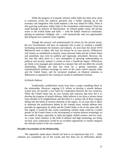While the progress of economic reforms within India has been slow, there is consensus across the political spectrum that a further opening up of the economy and integration with world markets is the way ahead for India. There is also growing realization within India of the tremendous achievements China has made through its policies of liberalization. As reforms gather steam, the private sector in the United States and India -- with the Indian American community playing an important 'bridging' role -- will automatically seek out opportunities that bring the two countries closer together.

Though this process will predominantly be driven by the private sector, the two Governments will have an important role to play in creating a suitable facilitating environment for business and industry. As seen from the recent WTO Ministerial meet in Qatar, this may not always be an easy process. Differences will remain on multilateral economic issues between India and the United States and sometimes may even be publicly and vigorously articulated. However, the fact that this takes place in a new atmosphere of growing understanding on political and security matters is certain to have a beneficial impact. Differences are likely to be managed and contained in a manner that will not affect the overall relationship. (Perhaps the time has come for a greater systematic and institutionalized informal exchange on some of the issues which separate India and the United States, and for increased emphasis on bilateral solutions to differences as opposed to the crossing of swords in multilateral forums).

# *6) Missile Defense*

Traditionally, proliferation issues have been a major stumbling block in the relationship. However, ongoing U.S. efforts to develop a missile defense system may yet provide a new basis for cooperation between the two countries. While the United States has its own reasons and concerns that have led it to develop the program of missile defense, India believes it too faces a serious threat from missiles in its neighborhood, and that there is a serious risk of these weapons falling into the hands of terrorist elements in the region. As an issue that is likely to dominate the proliferation debate in the coming years, missile defense thus provides an opportunity for India and the United States to be on the same side. In this regard, it would be also worth considering whether India could be a useful partner of the United States in the development of missile defense technology on the model of Japan, especially as India has highly skilled workers and low costs. At a time when relations in the field of defense and high technology are being revived, such cooperation would be an excellent opportunity to closely integrate the relevant sectors of the two countries.

#### *Possible Uncertainties in the Relationship*

The arguments made above should not lead to an impression that U.S. – India relations are completely out of the woods and that there are no difficulties ahead.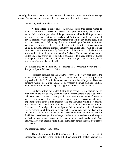Certainly, there are bound to be issues where India and the United States do not see eye to eye. What are some of the issues that may pose difficulties in the future?

#### *1) Pakistan, Kashmir and terrorism*

Nothing affects Indian public consciousness more than issues related to Pakistan and terrorism. These are viewed as the principal security threats to the nation. India, while appreciative of the positions adopted by the U.S. government on these issues, will continue to closely watch U.S. policies and action to see if current positions will be sustained or whether there will be any falling back. India will also insist, as it did during the visit to Washington by Prime Minister Vajpayee, that while its policy is one of restraint, it will, in the ultimate analysis, act as its national interests demand. Similarly, the United States will be looking for India to move towards an early de-escalation of the situation on the border and a resumption of the dialogue process with Pakistan. The understanding that the United States has shown so far to India's concerns is to a large extent predicated on the policy of restraint India has followed. Any change in that policy may result in adverse effects on the relationship.

# *2) Political change in India and the absence of a consensus within the U.S. foreign policy establishment on India*

American scholars see the Congress Party as the party that carries the mantle of the Nehruvian legacy, and a political formation that was primarily responsible for the U.S. – India estrangement of the last fifty years. There are concerns within the United States as to whether a future non-BJP political administration in India will be equally supportive of U.S. – India relations.

Similarly, within the United States, large sections of the foreign policy establishment are still to fully catch up with the improvement in the relationship. India continues to be seen primarily within a sub-continental frame of reference and few have articulated a vision of U.S. – India relations envisaging India as an important partner of the United States in Asia and the world. While most analysts are positive about the future of India – U.S. relations, the vast majority of literature on U.S. foreign policy either ignores India or sees it as neither friend nor foe, an ambivalent attitude which is essentially a carry-over from the days of the Cold War. There is also skepticism about whether attitudes within India towards the United States have genuinely changed. Indian motives and actions with regard to Kashmir also remain suspect in the eyes of many, particularly South Asia analysts. Moreover, India is yet to make a significant dent in the consciousness of U.S. media.

#### *3) Expectations that overtake reality*

The rapid turn around in U.S. – India relations carries with it the risk of expectations rising far beyond reality in both countries. U.S. analysts caution that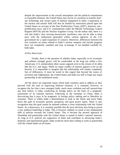despite the improvement in the overall atmosphere and the political commitment to expanded relations, the United States may not be in a position to transfer dual use technology and certain types of defense equipment to India. Cooperation in the nuclear and missile field will also be limited by restrictions placed upon the United States on account of the Non Proliferation Treaty (NPT), domestic non proliferation laws, and U.S. commitments under the Missile Technology Control Regime (MTCR) and the Nuclear Suppliers Group. On the Indian side, there is a risk that India's slow moving bureaucratic machinery may not be able to keep pace with the enthusiasm generated within various agencies of the U.S. government for a rapid expansion of contacts. Moreover, differences between the two countries on issues related to India's nuclear weapons and missile program have not completely vanished and may re-emerge, if not handled carefully by both sides.

#### *4) Pax Americana*

Finally, there is the question of whether India, especially as its economic and military strength grows, will be comfortable in the long run within a Pax Americana. U.S. unilateralism often causes anguish even to the closest of its allies like the E.U. and Japan. While no major conflict of interest appears to be on the horizon, it is impossible to imagine that the relationship will remain completely free of differences. It must be noted in this regard that beyond the issues of terrorism and Afghanistan, the United States and India are still to forge any major partnership in the multilateral arena.

All the above are important issues which both countries need to address as they proceed with the task of improving bilateral relations. It is essential, however, to recognize the fact that a new resurgent India, much more confident and self assured than any time before, is today conducting its foreign policy on the basis of a pragmatic assessment of its national interests. Following in the footsteps of China, India is discovering that it pays to be pragmatic in foreign policy making and to liberalize its economy. There is within India a determination to look to the future and move India down the path of economic growth, prosperity and great power status. There is also recognition that this goal cannot be attained without a close relationship with the United States. As a democracy, it is certainly possible that the next elections may bring to power a new political leadership in India. This is however unlikely to result in any fundamental shift in policies towards the United States. This is because the present approach of friendship and partnership with the United States is rooted in India's national interests. As long as U.S. policies are supportive of India and contribute to advancing India's domestic and international goals, India would be more than willing to work in partnership with the United States on all issues.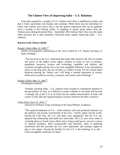# **The Chinese View of Improving India -- U.S. Relations**

It has been argued by a number of U.S. scholars that China is indifferent to India, and that it looks upon India with disdain and contempt. While there may be individuals in China who express such views, that is not the general impression that can be gathered from a reading of the Chinese media. A sampling of reports given below from the Chinese press during the period May – September 2001 indicate that China not only takes India seriously but is also extremely concerned about rapidly improving India – U.S. relations.

# *Reports in the Chinese Media*

# *People's Daily (May 14, 2001) <sup>31</sup>*

(Delhi Correspondent commenting on the visit to India by U.S. Deputy Secretary of State Armitage )

"The top level in the U.S. understand that India fully deserves the title of number one power in the Indian ocean region, whether in terms of size of territory, population resources, science and technology capability and military and economic strength and also has a far from negligible influence in the international arena. In the long term, the rise of India is a matter of time. For the United States therefore playing the 'Indian card' will bring it marked repayment in various fields such as political, security, economic and science and technology."

# *People's Daily, May 21, 2001*<sup>32</sup>

(Washington dispatch)

"Steadily warming India – U.S. relations have resulted in widespread attention to the geo-politics of Asia. It is difficult to predict whether or not India will become a strategic ally of the U.S. or of China but the sudden attractiveness of India will sooner or later alter the regional balance of power between the three countries."

# *China Daily (June 25, 2001) <sup>33</sup>*

(Article by Professor Yang Yunzhong of the Jinan Military Academy)

"The rapid development of U.S. – India relations will exert profound influence on the political and security environment of the Asia – Pacific region and the world. During the Cold War, the U.S. and India were antagonists. But the U.S. has adjusted that relationship and made nice with India. The U.S. now views India as a leading player in South Asian affairs and a rising world power, not just a source of regional problems. Both economically and militarily, India is gathering momentum and this provides the U.S. more diplomatic and strategic angles to play in the region. Among the benefits for the U.S. is the fostering of an anti - China stronghold, southwest of China".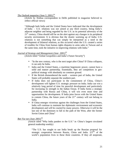# *The Outlook magazine (June 5, 2001)<sup>34</sup>*

(Article by Xinhua correspondent in Delhi published in magazine believed to reflect official views)

"Although both India and the United States have indicated that the development of India – U.S. relations was not aimed at any third country, being India's adjacent neighbor and being regarded by the U.S. as its potential adversary of the  $21<sup>st</sup>$  century, China should still be on the alert against any changes in its peripheral security environment. It is obvious that the drastic warming up of India- U.S. relations is not something that can simply be interpreted as a need in the development of bilateral relations, as this occurred when the U.S. created a series of troubles for China from human rights disputes to arms sales to Taiwan and at the same time, took the initiative in improving relations with India."

# *Journal of Strategy and Management (June 2001)<sup>35</sup>*

(Article titled "Global Geopolitics and India's Future Security")

- "In the new century, who is the next target after China? If China collapses, it can only be India.
- India and the United States, a maritime hegemonic power, cannot have a solid and mature partnership. Essentially, they are competitors in geopolitical strategy with absolutely no common ground.
- If the British dismembered the north western part of India, the United States will probably separate the southern part.
- If India does not participate in the containment of China, China's development will lighten U.S. strategic pressure on India. India can win a relatively long period of time for peaceful development and particularly for increasing its strength in the Indian Ocean. If India forms a strategic partnership with Russia and China, it will win even more time and opportunities for development. If India joins forces with the United States to contain China, the future years of the  $21<sup>st</sup>$  century will not belong to India.
- If China emerges victorious against the challenges from the United States, India will continue to maintain her diplomatic environment and economic development and will be courted by many powers. Otherwise it will be the last one of the dominoes to fall in the path of the West, after the former Soviet Union and China"

# *Ban Yue tan (June 2001)<sup>36</sup>*

(Article titled "Why India panders to the U.S." in China's largest circulated general readership weekly)

"The U.S. has sought to use India break up the Russian proposal for strategic cooperation between Russia, China and India.  $2/5$ <sup>ths</sup> of the world's population lives in these three countries. If they all cooperate,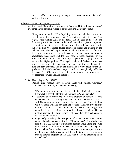such an effort can critically endanger U.S. domination of the world strategic structure"

# *Liberation Army Daily (August 22, 2001)* <sup>37</sup>

(Article titled "Behind the warming of India – U.S. military relations", published in the official newspaper of the People's Liberation Army)

"Analysts point out that U.S.A.'s joining hands with India has come out of consideration of its long term South Asia strategy. Firstly, the South Asia region, with Central Asia to its north, Middle East to its west, and dominating the Indian Ocean to the south indeed occupies an important geo-strategic position. U.S. establishment of close military relations with India will help U.S. armed forces conduct exercises and training in the Indian Ocean. This will improve operational capabilities of U.S. forces in the region, widen American influence and obtain important strategic advantages. Also, India and the U.S. have identical positions on the Taleban issue and Indo – U.S. military cooperation can play a role in solving the Afghan problem. Then again, India and Pakistan are nuclear powers. The U.S. on the one hand fears both countries would grab the guns and start shooting, and on the other hand is wary about further upgradation of India's nuclear weapons to form into globally effective deterrents. The U.S. drawing closer to India would also remove reasons for closeness between India and Russia.

# *Global Times (August 31, 2001)<sup>38</sup>*

(Article titled "Indian army to equip itself with nuclear warheads" published in a subsidiary of the People's Daily)

- "For some time now, several high level Indian officials have suffered from what is described by the Indian media as 'China anxiety'.
- According to an Indian expert, India's program of nuclear weapons development is at a primary stage. India will not be able to catch up with China for a long time. However the strategic superiority of China vis-à-vis India will also not continue for long. With the development of Agni – II missiles, China will gradually lose the advantages that natural defensive conditions such as the Himalayas and the Tibetan plateau provide it. These barriers will lose their formidableness in front of India's missiles.
- Objectively, speaking the instigation of some western countries is among the principal causes for this 'China anxiety' within India. Not long back a U.S. newspaper published reports about China exporting large quantities of missiles to Pakistan. This created a big negative impact within India. Indian media conducted an opinion poll and the result was over 85% of people polled said India must actively join the missile defense program of the U.S. with a view to defending itself from China"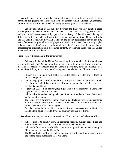As reflections in an officially controlled media, these articles provide a good barometer for judging the extent and level of concern within Chinese governmental circles over the rise of India, as well as rapidly improving India – U.S. relations.

Equally interesting is the fact that between the lines, the key question these articles pose is whether India will do a "China" on China. That is to say, just as China and the United States successfully put aside a history of hostility and ideological differences in the early 70's to forge a 'tacit alliance' against the Soviet Union, will India and the United States, who have had a difficult and prickly relationship for the last fifty years, find common ground by uniting against China? Is the United States trying to play India off against China? And, is India emulating China's own example by displaying unprecedented pragmatism and diplomatic dexterity by aligning itself with the United States to obvious mutual benefit?

# *India – U.S. Alliance: Not in China's interest*

Evidently, India and the United States moving into some kind of a formal alliance is among the last things China would like to see happen. Extrapolating from writings in the Chinese media, it appears that in China's perception, such an alliance, if it materializes, is likely to result in the following detrimental effects to China's security:

- Military bases in India will enable the United States to better project force in China's periphery.
- India's geographical location astride the principal sea lanes of the Indian Ocean will allow the United States to stop or disrupt energy supplies to China if such an eventuality should arise.
- A growing U.S. India convergence might lead to new pressures on China with regard to Tibet as well as Xinjiang.
- India's industrial and technological capabilities can provide the United States with useful logistical support.
- The lack of any significant economic stake in good relations with China combined with a history of hostility and armed conflict makes India a more willing U.S. partner than most others in the region.
- Any flare-up on the India-China border at a time of tensions across the Straits can lead to China being forced to divide its attention between two fronts.

Based on the above, a worst - case scenario for China can be sketched out as follows :

- India continues to steadily grow in economic strength, military capabilities and diplomatic stature. It becomes a formal ally of the United States.
- India finds for itself a comfortable niche within a grand containment strategy of China implemented by the United States.
- The United States legitimizes India's nuclear capabilities and India acquires first and second strike capabilities vis-à-vis China.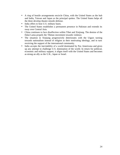- A ring of hostile arrangements encircle China, with the United States as the hub and India, Taiwan and Japan as the principal spokes. The United States helps all the three develop theatre missile defense.
- India offers to host U.S. military bases.
- The United States establishes a permanent presence in Pakistan and extends its sway over Central Asia.
- China continues to face disaffection within Tibet and Xinjiang. The demise of the Dalai Lama propels the Tibetan movement towards violence.
- The situation in Xinjiang progressively deteriorates with the Uigurs turning towards nationalism instead of religion as their motivating ideology, and in turn receiving the support of the international community.
- India accepts the inevitability of a world dominated by Pax Americana and gives up any attempt to challenge U.S. domination of the world. In return for political, economic and military support, it aligns itself with the United States and becomes as strong an ally as the U.K., Japan or Israel.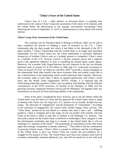# **China's Fears of the United States**

China's fear of a U.S. – India alliance, as discussed above, is probably best understood in the context China's long term assessment of the nature of its relations with the United States, the deterioration in the strategic environment surrounding China following the events of September 11, and U.S. determination to move ahead with missile defense.

# *China's Long-Term Assessment of the United States*

The working visit by President Bush to Beijing in February 2002 can be said to have completed the process of bringing a sense of normalcy to the U.S. – China relationship after the deep trough into which it had fallen in the aftermath of the EP 3 plane incident.<sup>39</sup> China's relationship with the United States is its single most important relationship. For the United States too, the China relationship is extremely important irrespective of whether China is seen as a strategic partner or competitor. China's status as a member of the U.N. Security Council, a nuclear weapons power and a regional power with significant influence in Asia is something the United States cannot ignore. Moreover, the economic links forged between the two countries in the last two decades (bilateral trade of around US \$ 74.4 billion in 2000 and U.S. contractual investment in China of around US \$ 63. 41 billion by end May  $2001^{40}$ ) provide a strong foundation to the relationship. Both sides benefit from these economic links and neither would like to see a deterioration in the relationship which would undermine these benefits. Moreover, this economic stake in each other is likely to expand significantly with China's recent entry into the World Trade Organization (WTO). Further, it is expected that the forthcoming leadership transition, China's pre-occupation with dealing with the domestic consequences of the WTO accession, its hosting of the Olympics in 2008, and the growing economic integration between Taiwan and the Mainland, will together deter any adventurism on the part of China and bring stability to the relationship.

None of the above considerations have, however, put to rest the debate within the United States over the future of China and the approach the United States needs to adopt in dealing with China over the long term. U.S. opinion can be broadly divided into two camps - the advocates of "engagement" and the proponents of "containment". According to the advocates of engagement, the United States should engage China actively. The 'China threat' should not be articulated in a manner that turns it into a self - fulfilling prophecy. China is changing and at this stage, no one can predict with certainty what the China of the future is likely to look like or whether it will challenge U.S. interests. The best policy option for the United States is therefore to bandwagon China, integrate it with the international community and align it so closely to the United States that it will not challenge U.S. interests in the future.<sup> $41$ </sup> The proponents of containment on the other hand, argue that strategic competition is already underway.<sup>42</sup> They believe that the combination of growing Chinese power, China's effort to expand its influence and the unwillingness of the United States to give way before China has created the pre-conditions for a struggle for the mastery of Asia. The United States and China will continue some form of economic relationship, maintain diplomatic ties, and will not openly be at war with each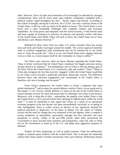other. However, flows of trade and investment will increasingly be distorted by strategic considerations, there will be much more open military competition combined with a political contest waged throughout the Asia – Pacific region and beyond. According to this school of thought, during the Cold War, the U.S.S.R. was only a military threat to the United States. It did not count for much in the global economy. The United States is now faced with a more formidable challenger who combines military and economic capabilities. As China grows and integrates with the world economy, it will become more and more capable of resisting U.S. pressure. Its interests will naturally conflict with those of the United States until finally China will seek to throw the United States out of Asia, and declare a new Monroe Doctrine.<sup>43</sup>

Buffeted by these views from two sides, U.S. policy towards China has swung back and forth and finally converged around the middle. The current approach therefore seeks to combine engagement with containment and can be summed up as one which aims to "keep the powder dry." That is to say, the United States must engage China but even as it does so, it must prepare itself for the eventuality of a future conflict.<sup>44</sup>

On China's part, however, there are fewer illusions regarding the United States. China is firmly convinced that the United States constitutes the biggest and most serious security threat to its interests.<sup>45</sup> The predominant view in China is that the primary goal of the West, led by the United States, is to "westernize, split and weaken" China.<sup>46</sup> Many in China also recognize the fact that even the 'engagers' within the United States would like to see China evolve towards a politically pluralistic democratic system. The difference between those who advocate engagement and containment in the United States is therefore only one of strategy and not goals. $47$ 

From China's perspective, the United States is clearly a hegemon bent upon global domination<sup>48</sup> and its plans for missile defense confirm China's worst suspicions in this regard. To the Chinese, missile defense is a quest on the part of the United States to ensure absolute security for itself and ensure that no challenger ever arises in the horizon. Moreover, with a rising tide of ultra – nationalism, the popular view within China is that the United States is out to prevent China from attaining its rightful place within the world order.<sup>49</sup> It must be mentioned in this regard that China, as a result of its spectacular economic progress in the last decade, has been extraordinarily successful in co-opting its elite intelligentsia. There is within society an absence of any significant demand for political pluralism or democracy. In the place of debate over the nature of Chinese society and the need for change that was witnessed in the late eighties, what is rampant is strong sentiments of nationalism, particularly amongst the best educated and most prosperous in society. Unlike in the pre-1989 period, when elites pressurized the Government to move towards more openness and transparency, today the calls in China are for the Government to stand up to the U.S. and adopt more aggressive postures of defiance.

Despite all these misgivings, as well as public pressure, China has deliberately sought to maintain good relations with the United States. This is because the leadership realizes that China stands to benefit enormously from such relations. Reflecting Chinese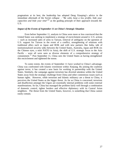pragmatism at its best, the leadership has adopted Deng Xiaoping's advice in the immediate aftermath of the Soviet collapse - "*Be calm, keep a low profile, hide your capacities and bide your time*" <sup>50</sup> as the guiding principle of their approach towards the U.S.

#### *Impact of the Events of September 11 on China's Strategic Situation*

Even before September 11, analysts in China were more or less convinced that the United States was seeking to implement a strategy of encirclement around it. U.S. actions -- such as increased sales of arms to Taiwan, removal of ambiguity on the question of U.S. support for Taiwan in the event of a conflict, strengthening of relations with traditional allies such as Japan and ROK and with new partners like India, talk of institutionalized security talks between the United States, Australia, Japan and ROK (in the Chinese eyes, a mini NATO in Asia), the shift of U.S. strategic focus to the Asia Pacific – were all were seen as diverse elements of a comprehensive strategy of containment.<sup>51</sup> Post September 11, China sees the United States as having strengthened this encirclement and tightened the noose.

To some extent, the events of September 11 have worked to China's advantage. China was confronted with Islamic extremism within Xinjiang. By joining the coalition against terror, it has created a new basis for working in partnership with the United States. Similarly, the campaign against terrorism has diverted attention within the United States away from the strategic challenge from China and other contentious issues such as human rights. However, while terrorism and Islamic militancy are a threat to China, it perceives the United States as the bigger threat. As far as China is concerned, terrorism and disaffection amongst the Uigurs are essentially internal problems with some external manifestations. So far, China has managed the problem fairly well through a combination of domestic control, tighter borders and effective diplomacy with its Central Asian neighbors. The threat from the United States, however, is something that China cannot easily contain.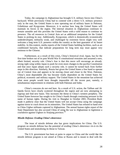Today, the campaign in Afghanistan has brought U.S. military forces into China's backyard. While previously China had to contend with a direct U.S. military presence only in the east, the United States is now operating out of military bases in Pakistan, Uzbekistan and Kyrgyzstan. Moreover, it is unclear how long the United States will maintain its forces in the region. The internal situation in Afghanistan continues to remain unstable and this provides the United States with a valid reason to continue its presence. The oil resources in Central Asia act as additional temptation for the United States to prolong its stay. Additionally, Kyrgyzstan, which is domestically economically underdeveloped, militarily weak, and challenged by extremist forces might very well welcome a long term U.S. presence within the country as the best guarantor of its future stability. In this context, media reports of the United States building facilities, such as air conditioned barracks, that indicate preparations for long term stay must appear very ominous to the Chinese.

Furthermore, as a result of this crisis, China's historical rival, Japan, has for the first time broken out of its post World War II constitutional restraints and assumed a new, albeit limited, security role. China's fear is that this move will encourage an already strong right wing within Japan to push for even more changes to the pacifist Constitution and that once Japan adopts such a security role, it cannot be turned back from further steps in this direction. Similarly, Russia has given the United States a free hand to operate out of Central Asia and appears to be moving closer and closer to the West. Pakistan, China's most dependable ally has become vitally dependent on the United States for political, economic and military support. The United States in the meantime has achieved what most people would have thought impossible till the recent past, namely, a simultaneous improvement in relations with both Pakistan and India.

China's concerns do not end here. As a result of U.S. action, the Taliban and Al-Qaeda forces have clearly scattered throughout the region and are now attempting to regroup and find new bases. This increases the threat to China's western periphery. The United States however has sought to tie China's hands through continuing pressure in the name of human rights. During his visit to Shanghai in October 2001, President Bush made it publicly clear that the United States will not accept China using the campaign against terror to crack down on its minorities. The United States has refused to hand over to China Uighur militants captured in Afghanistan. The annual human rights report of the State Department has also accused China of using the war in Afghanistan to legitimize a crackdown against Uighurs in Xinjiang province.  $52$ 

#### *Missile Defense: Eroding China's deterrence*

The issue of missile defense also has grave implications for China. The U.S. program on missile defense has the potential of eroding China's deterrence vis-à-vis the United States and neutralizing its threat to Taiwan.

The U.S. government has been at pains to argue to China and the world that the missile defense program is not aimed at China or Russia and is meant to deal with the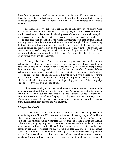threat from "rogue states" such as the Democratic People's Republic of Korea and Iraq. There have also been indications given to the Chinese that the United States may be willing to countenance a modest increase in China's ICBMs in response to the missile defense.

The Chinese however are well aware that this is a slippery slope to follow. Once missile defense technology is developed and put in place, the United States will be in a position to raise the nuclear threshold when it pleases. China would be left with no option but to accept the reality that its deterrence has been eroded or engage in a costly arms race to keep pace with the United States raising the threshold from time to time. China's economy may not be able to sustain such an arms race and it might fall into the same trap the Soviet Union fell into. Moreover, in return for a deal on missile defense, the United States is asking for transparency on the part of China with regard to its arsenal and capabilities. Any such transparency, which China would provide in the face of the overwhelmingly superior capabilities of the United States, would only help the United States further neutralize its deterrence.

Secondly, the United States has refused to guarantee that missile defense technology will not be transferred to Taiwan. If missile defense were transferred, it would neutralize China's missile threat to Taiwan and encourage the forces of independence there. Further, the U.S. approach is to use the threat of transfer of missile defense technology as a bargaining chip with China in negotiations concerning China's missile forces on the coast opposite Taiwan. China is likely to be stuck with a situation of having its missile forces reduced on account of U.S. diplomatic pressure. At the same time, it still faces a situation of missile defense technology being passed on to Taiwan stage-bystage or piece-by-piece over a period of time.

China seeks a dialogue with the United States on missile defense. This is with the hope that it can at least delay or limit the U.S. system. China realizes that in the ultimate analysis it can only put the best face on a bad situation. Unless a future U.S. Administration decides to roll back the program, as happened with Ronald Reagan's Star Wars proposal, missile defense will remain a major bone of contention as well as a source of mistrust and suspicion between the two countries.

# *A Fragile Relationship*

In conclusion, despite the return to normalcy and the strong economic underpinning to the China – U.S. relationship, it remains inherently fragile. While U.S. – China relations outwardly appear to be normal, beneath the surface there is a great deal of suspicion and mistrust. China recognizes the fact that issues like Taiwan and human rights are not just going to go away. The more Taiwan consolidates its democracy, the more support it will get from the United States. Similarly, unless there is a fundamental change in the Chinese political system, it is unlikely that U.S. pressure on the human rights front will cease. The reason there is no major crisis in the relationship at present is because China has adopted a deliberate strategy of not responding to provocation and maintaining a low profile. However, this is clearly a short term strategy on the part of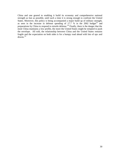China and one geared to enabling it build its economy and comprehensive national strength as fast as possible, until such a time it is strong enough to confront the United States. Moreover, this policy is being accompanied a major build up of military strength, as seen in the increase in defense spending of  $17.7$  % in the 2002 budget<sup>53</sup> and preparations by China to respond to missile defense.<sup>54</sup> Finally, there is the danger that the more China maintains a low profile, the more the United States might be tempted to push the envelope. All told, the relationship between China and the United States remains fragile and the expectation on both sides is for a bumpy road ahead with lots of ups and  $downs.<sup>55</sup>$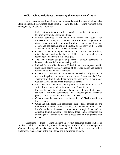# **India – China Relations: Discovering the importance of India**

In the context of the discussions above, it would be useful to take a look at India-China relations. If the Chinese could script a scenario for India – China relations in the coming years, it would be as follows:

- India continues its slow rise in economic and military strength but is far from becoming a match for China.
- Pakistan continues to tie down India within the South Asian framework. Its proxy war continues in Kashmir but stays short of risking a real war which might end in either a nuclear conflagration, defeat, and the dismantling of Pakistan, or the entry of the United States into the region as a permanent peacemaker.
- China continues its policy of active support to the Pakistani military establishment, particularly in the field of nuclear and missile technology. India accepts this status quo.
- The United States struggles to perform a difficult balancing act between India and Pakistan, satisfying neither.
- Political forces unfriendly to the United States come to power within India. India asserts the independence of its foreign policy and starts to raise its voice against Pax Americana.
- China, Russia and India form an entente and seek to rally the rest of the world against domination by the United States and the West. Together they lead the challenge for the establishment of a multi polar world in the UN and all other international forums.
- India and China revert to a new phase of 'hindi-chini bhai-bhai'<sup>56</sup> which drowns out all talk within India of a "China threat".
- Progress is made in arriving at a boundary settlement. India makes substantial territorial concessions and acknowledges its "mistaken policy" of the past that led to the conflict of 1962.
- China eventually recognizes the integration of Sikkim within the Indian Union.
- China and India bring their economies closer together through rail and road corridors linking China's provinces of Sichuan and Yunnan with India's northeast, increased border trade through Tibet and air corridors linking Xinjiang with North India. India recognizes the advantages that accrue to it from a close economic alignment with China.

Assessments of India – China relations in western academic circles tend to be simplistic and do not render full justice to the complexity of the India - China equation. Most of all, they fail to take note of the fact that China has in recent years made a fundamental reassessment of the importance and significance of India.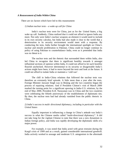#### *A Reassessment of India Within China*

There are six factors which have led to this reassessment:

#### *1) Indian nuclear tests – a wake up call for China*

India's nuclear tests were for China, just as for the United States, a big wake up call. Suddenly, China realized that it could not afford to ignore India any more. Not only were India's nuclear weapons an element it would need to include in its own security calculus, but India had also made it clear to the world that a deterioration in its security environment would meet with a response. By conducting the tests, India further brought the international spotlight on China's nuclear and missile proliferation to Pakistan. China could no longer continue its policy of using Pakistan to counterbalance India, even as it pretended that India was no threat to it.

The nuclear tests and the rhetoric that surrounded them within India, also led China to recognize that there is significant hostility towards it amongst influential sections of opinion within India. It could not afford to let such hostility flourish unchecked. However detrimental to its security or disagreeable India's actions might have been, it had to move beyond the tests and look at the future. It could not afford to isolate India or maintain a 'cold war'.

The chill in India-China relations that followed the nuclear tests was therefore an extremely brief episode. A little more than a year after the tests, Foreign Minister Jaswant Singh was in Beijing and the two countries began the process of repairing relations. And if President Clinton's visit of March 2000 marked the turning point for a significant upswing in India-U.S. relations, by the end of May 2000, President K.R. Narayanan was in China and the two countries were celebrating the fiftieth anniversary of the establishment of diplomatic ties. By then, the nuclear tests had had already vanished from the public rhetoric in China.

# *2) India's success in multi- directional diplomacy, including in particular with the United States*

Equally important in influencing a change in China's attitude was India's success in what the Chinese media called "multi–directional diplomacy". It did not take long for the vigilant Chinese to note that there was a new dynamism in Indian foreign policy, and India was rapidly developing the diplomatic skills of a major power.

For example, it was noted that India acted with great restraint during the Kargil crisis of 1999 and as a result, gained considerable international goodwill. India actively worked to assuage and moderate U.S. antagonism in the aftermath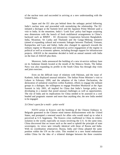of the nuclear tests and succeeded in arriving at a new understanding with the United States.

Japan and the EU also put behind them the unhappy period following India's nuclear tests and proceeded with normalizing the relationship. The EU initiated a dialogue at the Summit level and the Japanese Prime Minister paid a visit to India. In the meantime, India's 'Look East' policy had begun acquiring new dimensions with the launch of fresh multilateral arrangements in China's backyard such as BIMST - EC (Economic Cooperation between Bangladesh, India, Myanmar, Sri Lanka and Thailand) and the Ganga-Mekong initiative (aimed at expanding cultural and economic linkages between Thailand, Vietnam, Kampuchea and Laos and India). India also changed its approach towards the military regime in Myanmar and initiated an active engagement of the regime in political as well as economic spheres, including through support for infrastructure projects. ASEAN in the meantime decided to hold an annual summit with India on the lines of ASEAN plus three.

Moreover, India announced the building of a new tri-service military base on its Andaman Islands located at the mouth of the Malacca Straits. The Indian Navy was also expanding its profile in the South China Sea through ship visits and joint exercises.

Even on the difficult issue of relations with Pakistan, and the issue of Kashmir, India displayed unusual initiative. The Indian Prime Minister's visit to Lahore in February 1999, and the adoption of the Lahore Declaration, the declaration of unilateral ceasefires within Kashmir, efforts to engage the militant groups in a dialogue, the willingness to engage President Musharraf at the Agra Summit in July 2001, all implied for China that India's foreign policy was developing in a manner that posed unusual challenges as well as opportunities. The rise of India and its implications for China needed to be assessed in a cool headed and pragmatic manner and more than anything else, the new India needed to be engaged.

# *3) China's quest for a multi – polar world*

NATO action in Kosovo and the bombing of the Chinese Embassy in Belgrade generated in the Chinese mind intense disillusionment with the United States, and prompted a renewed search for allies who would stand up to what it perceived as U.S. hegemony. The Kosovo crisis reaffirmed to China its relative isolation in the world, especially on issues involving the U.S. At the same time, China discovered that on issues such as the need to uphold the principle of state sovereignty, its views were virtually identical with those of Russia and India. With no coordination whatsoever, Russia, India and China adopted the same position within the UN on the crisis. This resulted in a new found enthusiasm within China for the idea of a trilateral dialogue between the three countries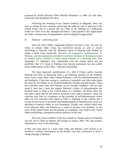proposed by former Russian Prime Minister Primakov in 1998. (At that time, China had cold shouldered the idea.)

Following the bombing of the Chinese Embassy in Belgrade, India was seen as among the few countries which had the political will to stand up to the United States, and as a natural ally for China in the building of a multi-polar world, by virtue of its size, strength and history. China gained a new appreciation for India's strong sense of independence and non-aligned foreign policy.

#### *4) Pakistan – a declining asset*

Since the early 1960's, supporting Pakistan has been a low cost way for China to contain India. China has transferred nuclear as well as missile technology to Pakistan with the deliberate intent of keeping India bottled up within a South Asian framework. However, the progressive 'Talibanization' of Pakistan, and encouragement provided to extremist elements in Xinjiang province by Islamic forces, resulted in China seeing Pakistan as a declining asset. Post September 11, Pakistan's new relationship with the United States and the possibility that U.S. bases in Pakistan may become permanent has also added fresh complications to the China – Pakistan relationship.

The most important manifestation of a shift in China's policy towards Pakistan has been its distancing from a pro-Pakistan position on the Kashmir issue. From a time when China echoed Pakistan's calls for self-determination by the Kashmiris, China has swung to a position of neutrality and talks today about the need for the dispute to be resolved bilaterally through peaceful means. China now describes both India and Pakistan as two friendly neighbors, and has also made it clear that it does not support Pakistan's efforts to internationalize the Kashmir issue or bring in the United States as a mediator. No doubt, there has also been a great deal of self-interest involved in this shift in position. China has concerns over how an acceptance of the principle of self-determination would affect its own concerns with regard to Tibet or Xinjiang. It also realizes that a victory for the forces of terrorism and fundamentalism in Kashmir may result in a spiraling of tensions within its own boundaries. Finally, any conflict which may occur between India and Pakistan as a result of tensions over Kashmir, or the entry of the United States into the dispute as a mediator, may result in the United States establishing a permanent military presence in the area.

The most recent evidence of the turn around in Chinese policy on Pakistan was the visit to India by Premier Zhu Rongji in January 2002. The visit assumes importance in view of the following:

a) The visit took place at a time when India and Pakistan were locked in an eyeball-to- eyeball confrontation on the borders and thus constituted in itself a strong message to Pakistan.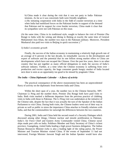b) China made it clear during the visit that it was not party to India- Pakistan tensions. As far as it was concerned, both were friendly neighbors.

c) By initiating cooperation with India in the field of counter terrorism at a time when India had mobilized forces on the Pakistani border in support of the demand that Pakistan end its support for cross border terrorism, China made it clear that its sympathies were not with Pakistan on this issue.

(At the same time, China in its traditional style, sought to balance the visit of Premier Zhu Rongji to India with the wining and dining in Beijing at exactly the same time of General Muhammed Aziz Khan, the number two man in the Pakistani military. Moreover, President Musharraf also paid two visits to Beijing in quick succession).<sup>57</sup>

#### *5) India's economic growth*

Finally, the success of the Indian economy in maintaining a relatively high growth rate of an average of 6 percent in the last decade, its remarkable success in the development and export of software and the potential that its one billion strong market offers to China are developments which have not escaped the Chinese. Over the past few years, there is no other country that has put together as many official delegations to study the success of India's software industry. Further, at a time when the Chinese economy is suffering from over production and excess capacity, the huge consumer goods hungry market of India located next door is seen as an opportunity too good to be missed by pragmatic China

#### *The India – China Diplomatic Calendar – A flurry of activity*

The practical consequence of the above reassessment has been an unprecedented flurry of activity on the diplomatic front between India and China.

Within the short span of a year, the number two in the Chinese hierarchy, NPC Chairman Li Peng and the number three, Premier Zhu Rongji both have paid visits to India. Both visits marked a deliberate departure from the previous practice of clubbing visits to India with those to Pakistan. The Li Peng visit was undertaken at the initiative of the Chinese side, despite the fact that it was actually the turn of the Speaker of the Indian Parliament to visit China. During both visits, the Chinese leaders went out of their way in private as well as public to stress the importance China attaches to friendly relations with India, and that the commonalities far outweigh the differences between the two countries.

During 2001, India and China held the second round of a Security Dialogue which discussed among other things, Chinese nuclear and missile proliferation to Pakistan. India's Air Force Chief and Eastern Army Commander visited China. Chinese naval ships made port calls on India. Politburo Member and Party Secretary of China's richest province, Guangdong, visited India leading a high power business delegation. The Indian Human Resources Minister (who is also a leading light of the ruling party), the Power Minister and Tourism Minister visited China. If the events of September 11 had not intervened, Foreign Minister Jaswant Singh and the Indian Speaker would have also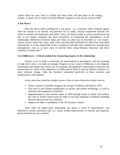visited China last year. Now it is likely that these visits will take place in the coming months. A return visit to China by Prime Minister Vajpayee is also on the cards for 2002.

# *A Hot Peace?*

Does the above reflect nothing but a 'hot peace', i.e., a situation where relations appear from the outside to be friendly and peaceful but in reality, conceal entrenched mistrust and efforts to subvert and undermine each other. Critics of China in India as well as outside point out that so far China's emphasis has been exclusively on improving the atmospherics of the relationship. Differences between India and China on what can be described as 'core issues' remain exactly where they were, with China showing little inclination to shift from entrenched old positions. It is also argued that China is seeking to lull India into complacency through these atmospherics, even as it takes steps to encircle India using Pakistan, Myanmar and other countries of South Asia.<sup>58</sup>

# *Core Differences – Critical yardstick for measuring progress in the relationship*

Clearly, as far as India is concerned, an improvement in atmospherics and the exchange of high level visits is in itself not enough. Progress on key issues of difference in the bilateral relationship will remain the critical test of a genuine and qualitative improvement. However, the reassessment by China of the importance of India and its effort to step up bilateral contacts is a most welcome change. India has therefore responded positively to these overtures and reciprocated in full measure.

At the same time, India has sought to press China to move forward on issues such as:

- China's refusal to formally recognize the me rger of Sikkim with India in 1975.
- The need to end Chinese proliferation of nuclear and missile technology, as well as materials and equipment, to Pakistan.
- Implementation of the decision taken in 1993 through treaty to clarify and confirm the Line of Actual Control (seen by India as the most important Confidence Building Measure between the two countries).
- Support for India's candidature to the UN Security Council.

Thus, while the India-China relationship has shown a trend of improvement, core differences remain unresolved and, as a result, strong undercurrents of mistrust and suspicion persist between the two countries.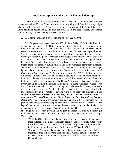# **Indian Perceptions of the U.S. – China Relationship**

A brief word may be in order on how India views U.S.-China relations. India has always seen close U.S. – China relations with misgiving and feared that they might adversely affect her interests. This is because there is a history of the United States and China colluding against India, and such collusion has in the past seriously undermined India's security. Some of these prior instances are:

#### *1. 1971 India – Pakistan War for the liberation of Bangladesh*

Over 30 years have passed since the 1971 India – Pakistan War for the liberation of Bangladesh. However, the U.S. action of sending the Seventh Fleet into the Bay of Bengal to threaten India as well as the U.S.- China collusion of the period remain seared in Indian memories. In India's perception, the 1971 war was imposed on her. She was responding to a situation created as a result of a military dictator in Pakistan refusing to accept the popular mandate of the people in the first ever free elections in the country, a consequent nationalist uprising in then East Pakistan, a genocide by Pakistani forces and a flow of over 10 million refugees into India. In the United States, there was amongst public opinion and in the Congress, significant sympathy and support for India. However, the then U.S. Secretary of State, Henry Kissinger, ignored these sentiments and instead saw Indian action as an effort to "*punish Pakistan for being a friend of China and a friend of the U.S."*<sup>59</sup> Calling upon the Chinese to join hands with the United States in seeking the *"maximum intimidation of Indians,*" <sup>60</sup> he went to the extent of encouraging China to open a second front with India and provided the assurance that the United States would checkmate the Soviets if they sought to involve themselves in the crisis. To quote Kissinger's words to the then Chinese Ambassador to the U.N. Huang Hua, "The President wants you to know that it's of course up to the People's Republic to decide its own course of action in this situation, but if the People's Republic *were to consider the situation on the Indian subcontinent a threat to its security, and if it took measures to protect its security, the U.S. would oppose the efforts of others to interfere with the People's*  **Republic**<sup>".61</sup> As back up to the above encouragement, the U.S. was prepared to even provide the Chinese with satellite pictures on the disposition of Soviet forces<sup>62</sup>. It also kept China in the picture on the veiled threats it was issuing to the Soviets, the movement of the U.S. Seventh Fleet into the Indian Ocean, and U.S. efforts to encourage middle eastern governments to provide American arms to Pakistan (in violation of U.S. laws).<sup>63</sup> According to William Burr, the editor of the Kissinger Transcripts:

- "With the U.S. public generally supporting India and the cause of Bangladeshi independence, Nixon and Kissinger secretly and deceptively tilted policy towards Pakistan, in part because of President Yahya Khan's important role in facilitating communications with Beijing during 1970 and 1971."
- "Moreover, Nixon and Kissinger saw India as a Soviet proxy and believed incorrectly that Indian Prime Minister Indira Gandhi aimed to destroy West Pakistan in order to humiliate the government that had helped to forge U.S. – China relations".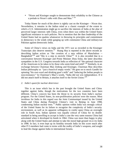• "Nixon and Kissinger sought to demonstrate their reliability to the Chinese as a prelude to Nixon's talks with Zhou and Mao." <sup>64</sup>

Today blame for much of the above is rightly cast on the Kissinger – Nixon duo. Nevertheless, it remains in the Indian mind as a classic example of the extent to which a U.S. Administration might go to sacrifice the interests of India at the altar of perceived larger interests with China, even when there was within the United States significant resistance to such policies. Not to mention that the then leadership of the United States had no qualms whatsoever in throwing its principles and commitment to democracy to the winds while ganging up with communist China and military-run Pakistan against democratic India.

Some of China's views on India and the 1971 war as recorded in the Kissinger Transcripts also deserve mention.<sup>65</sup> Huang Hua is reported in the above records as describing Indian action as "the creation of a new edition of Manchukuo -- Bangladesh<sup>" 66</sup> and "this is a step to encircle China"<sup>67</sup> It is also recorded that in a conversation between Kissinger and Prime Minister Zhou Enlai, the latter describes sympathies in the U.S. Congress towards India as reflection of "the national character of the Americans to be taken in by those who seem kind and mild".<sup>68</sup> Similarly, in an exchange between Chairman Mao Zedong and Kissinger, Chairman Mao describes Indian philosophy as "just a bunch of empty words." He goes on to mock Gandhi for spinning "his own wool and drinking goat's milk" and "inducing the Indian people to non-resistance." In Chairman's Mao's words, "India did not win independence. If it did not attach itself to Britain, it attaches itself to the Soviet Union."<sup>69</sup>

# *2. India's quest for nuclear deterrence*

This is an issue which has in the past brought the United States and China together against India, though the motivations for the two countries have been different. China's concern has been the threat to its security from India's nuclear program. For the United States, its non–proliferation policies were the reason. Most invidious for India in this regard was the Joint Communiqué issued by the United States and China during President Clinton's visit to Beijing in June 1998, condemning Indian nuclear tests.<sup>70</sup> Public opinion within India was strongly critical of the United States for its failure to recognize the complexity of India's security environment, as well as its apparent willingness to confer upon China an oversight role in South Asia. Indian opinion was equally critical of China for its double standard in being unwilling to accept in India's case the very same reasons China had articulated when it developed its bomb in 1964. China was more than happy to play along with the United States and attempt to take the moral high ground vis-à-vis India in 1998. In fact, it even kept up its hostility towards India on this score much after other P-5 members had come to terms with the reality of India's weapons, and sought to lead the charge against India in international forums.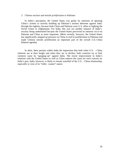#### *3. Chinese nuclear and missile proliferation to Pakistan*

In India's perception, the United States was guilty by omission of ignoring China's actions in actively building up Pakistan's nuclear deterrent against India through the eighties, because both China and Pakistan were U.S. allies in fighting the Soviet Union in Afghanistan. For India, this was yet another instance of India's security being undermined because the United States perceived its interests vis-à-vis Pakistan and China as more important. (More recently, however, the United States has significantly stepped up pressure on China to end its proliferation to Pakistan and made Chinese missile proliferation an important part of the overall U.S.-China bilateral agenda).

In short, there persists within India the impression that both when U.S. – China relations are at their height and when they are in decline, both countries try to find common cause by "ganging–up" against India. The recent improvement in India's relations with the United States as well as China reduces the cause for such concern on India's part. India, however, is likely to remain watchful of the U.S. - China relationship, especially in view of its "roller –coaster" nature.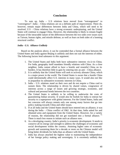# **Conclusion**

To sum up, India – U.S relations have moved from "estrangement" to "convergence". India – China relations are on a definite path of improvement. There do, however, remain major differences between India and China, which still need to be resolved. U.S – China relations have a strong economic underpinning, and the United States will continue to engage China. However, the relationship is likely to remain fragile because of the intractable nature of the differences between the two sides over issues such as Taiwan, human rights, and missile defense, as well as fears on both sides of a looming structural conflict.

# *India - U.S. Alliance Unlikely*

Based on the analysis above, it can be contended that a formal alliance between the United States and India against Beijing is unlikely and does not suit the interests of either. The following factors lend substance to this argument:

- 1. The United States and India both have substantive interests vis-à-vis China. For India, geography itself mandates friendly relations with China. As a close neighbor, India cannot afford to have a hostile and resentful China on its borders. It has therefore little to gain by entering into an anti – China alliance.
- 2. It is unlikely that the United States will seek to actively alienate China, which is a major power in the world. The United States is aware that a hostile China could detrimentally affect U.S. interests in many ways. It would also not like to jeopardize its substantive economic interests in China.
- 3. India U.S. relations stand on their own and do not require a China card to sustain them. The relationship is driven by shared values, congruence of interests across a range of issues and growing strategic, economic, and cultural and personal bonds between the two countries.
- 4. The United States is unlikely to be willing to underwrite the costs of guaranteeing Indian security. It would also be foolish for India to entrust her security to a superpower with global interests. For the United States, India and her concerns will always remain only one among many factors that go into policy making towards China and other issues.
- 5. If at all India and the United States should have entered into an alliance, it was during the India – China conflict of 1962. At that time, India asked for and obtained arms and equipment from the United States. However, for a variety of reasons, the relationship did not get translated into a formal alliance.  $71$ There is much less reason to initiate such an alliance now.
- 6. As a developing country, India's priority is economic development. It needs to conserve all its energy and strength to address the challenges of economic and social development within the country. Attaining higher rates of economic growth and sustaining them for a decade or more on the Chinese model will bring better dividends for India than an alliance with the United States.
- 7. India has always attached the highest value to maintaining the independence of her foreign policy making and sovereignty. It is extremely unlikely that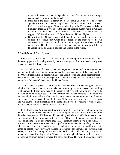India will sacrifice that independence now that it is much stronger economically, militarily and politically.

- 8. India has in the past consistently avoided becoming part of a U.S. or western agenda towards China. For example, even after the border conflict of 1962, India continued to support China's membership to the UN in place of Taiwan. Similarly, India has never raised the issue of Tibet or human rights in China in the U.N. and other international forums. It has also consistently voted in support of China within the U.N. Commission on Human Rights.<sup>72</sup>
- *9.* Both within the United States and India, there are significant sections of opinion that believe that China is a "threat' to the interests of the two countries. Both countries also have sections of opinion that advocate close engagement. This debate is essentially inconclusive and its results will depend to a large extent on China's policies and actions in the future.

#### *A Soft Balance of Power System*

Rather than a formal India – U.S alliance against Beijing as is feared within China, the coming years will in all probability see the emergence of a 'soft' balance of power system between the three countries.

A classical balance of power system envisages an international order wherein two nations join together to contain a rising power that threatens to disrupt the status quo (e.g. the United States and India against China or the United States and China against India) or when the weaker countries band together to contain the hegemon or the most powerful nation (e.g. India and China against the United States).

A soft balance of power system involving three countries can be envisaged as one in which each country tries to be the balancer, promoting its own interests by building relations with both countries, even as it engages in selective collaboration with one or the other on an issue by issue basis. In such a system, none of the countries would enter into any formal alliances with the others. Each country tries to expand relations with the other two countries on the basis of shared interests. At the same time, where interests converge and two countries find themselves on the same side, they do not hesitate to work together to advance their common interests vis-à-vis the third.

In the India-China-U.S. context, this would mean that the general trend would be one where each of the three maneuvers for maximum diplomatic gain for themselves vis-à-vis the other two powers. All three would maintain good relations with the others and not enter into any alliance or entente with each other. However, India and the United States will collaborate on issues where they share common interests vis-à-vis China, for example, on Chinese missile and nuclear proliferation to Pakistan. Similarly, India and China, as emerging powers and the largest developing countries in the world, might join hands on issues where they have interests in common, for example, on environmental issues, and on the building of a multi–polar world. India and China may proceed to initiate a trilateral dialogue with Russia on various global issues with a view to identifying common ground between the three countries. The United States and China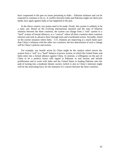have cooperated in the past on issues pertaining to India – Pakistan relations and can be expected to continue to do so. A conflict between India and Pakistan might see them join hands once again against India as has happened in the past.

In the above context, two points need to be made. Firstly, this system is unlikely to be a static one. Based on the evolving international situation and the state of bilateral relations between the three countries, the system can change from a "soft" system to a "hard" system of formal alliances, or a "concert" where all three countries share common interests and seek to advance these through joint and coordinated action. Secondly, based on the current situation where India - U.S. relations are improving at a much faster pace than China's relations with the other two countries, the key determinant of such a change will be China's policies and actions.

For example, any hostile action by China might be the catalyst which moves the system from a "soft" to a "hard" balance of power system, in which the United States and India enter into a formal alliance against China. In contrast, a willingness on the part of China to be a positive factor with regard to Pakistan, to end nuclear and missile proliferation and to work with India and the United States in leading Pakistan onto the path of turning into a moderate Islamic society (which is also in China's interests) might well be the motivating force for the initiation of a concert between the three countries.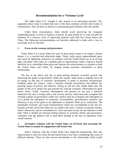# **Recommendations for a 'Virtuous Cycle'**

The India–China–U.S. triangle is thus poised at an interesting juncture. The arguments above make it evident that none of the three countries actively seek rivalry or confrontation. They all have an interest in maintaining good relations with one another.

Under these circumstances, India should avoid perceiving the triangular relationship purely in terms of balance of power. Its goal should be to work towards the initiation of a virtuous cycle of improving relations with both the United States and China. The following recommendations are therefore addressed to India with a view to encourage such an outcome:

#### *1. Focus on the economy and governance*

Today India is at a point where her goal of great power status is no longer a distant dream; it is a concrete and achievable target. Today, India enjoys unprecedented space and room for diplomatic maneuver. Its relations with the United States are at an all time high, and those with China on a definite path of improvement. India's objective should therefore be to consolidate these gains and improve her attractiveness as a partner to both the United States and China, by forging strong economic foundations to these relationships.

The key to the above task lies in jump-starting domestic economic growth and improving the quality of governance within the country. India needs to urgently focus all its energy on the task of economic development. It needs to prioritize infrastructure building within the country, create a business friendly environment and address the pressing issues of poverty and illiteracy. Doing so will not only enable India raise the quality of life of its people but also provide her with the economic wherewithal for great power status. Today, economic development and growth are not just a domestic imperative but also a foreign policy and security priority. India must also recognize that existing systems of governance within the country must be revamped and redesigned so as to permit the emergence of continuity, accountability, specialization, initiative and efficiency if any of her goals in the diplomatic or domestic fields are to materialize. The remarkable economic and social transformation China has accomplished in the last two decades provides proof that India too can achieve the same. Contrary to popular notions, India's democracy and its commitment to a free and open society are not obstacles in this path. What is needed are forward looking policies in economic reform and governance, combined with the political will to push them through in the face of opposition from vested interests. <sup>73</sup>

# *2. Strengthen relations with the United States on all fronts and encourage the United States to sustain its engagement with South Asia.*

India's relations with the United States have improved dramatically. But, this improvement is only few years old and started from a low base, considering fifty years of difficult relations. There are also several uncertainties in the relationship which would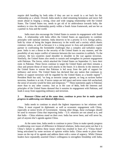require deft handling by both sides if they are not to result in a set back for the relationship as a whole. Overall, India needs to shed remaining hesitations and move full steam ahead in forging a strong, close and wide ranging relationship with the United States. The United States too, needs to get rid of its ambivalence towards India, the tendency to view the relationship purely within a South Asian framework, and see her as a partner in Asia and the world.

India must also encourage the United States to sustain its engagement with South Asia. A relationship with India offers the United States an opportunity to combine principles with national interests. India deserves to be a priority in U.S. foreign policy, both by virtue of being the largest democracy in the world and a society which shares common values, as well as because it is a rising power in Asia and potentially a useful partner in confronting the formidable challenges that a complex and turbulent region pose. India is not a threat to the security of the United States in any manner, and the possibility of any major conflict of interests between the two countries is unlikely. To the contrary, the two countries stand shoulder to shoulder in the war against terrorism. Similarly, the United States also needs to sustain and strengthen its present engagement with Pakistan. The forces, which attacked the United States on September 11, have their roots in Pakistan. These forces continue to target the United States and there remains a clear and present threat of more such attacks in the future. It is directly in the interests of the United States to ensure that Pakistan is led away from the path of support for militancy and terror. The United States has declared that any nation that continues to harbor or support terrorism will be regarded by the United States as a hostile regime<sup>74</sup>. President Bush has said, "so long as terrorist camps operate, so long as na tions harbor terrorists, freedom is at risk. If terror camps are left intact and terror states left unchecked, the sense of security would be false and temporary."<sup>75</sup> These statements apply to Pakistan more than to any other country. Just as in the case of India, both the interests and principles of the United States demand that it sustains its engagement with Pakistan, and leads it away from supporting militancy and terrorism.

# *3. Reassure China and at the same time, continue to press her to make speedy progress in addressing core bilateral differences.*

India needs to continue to attach the highest importance to her relations with China. It must expand its diplomatic as well as economic engagement with China, especially at senior levels of Government. Among other things, these exchanges should be used to reassure China that improving India – U.S. relations are not aimed at it, and that India – China relations stand on their own. India has never been, and will never be, part of anyone else's agenda against China.

At the same time, India needs to continue to press China to make speedy progress in addressing core issues of difference in bilateral relations. India must point out that it is China's failure to address these issues which has resulted in fears of a "China threat" being articulated by some sections of opinion within India. China needs to place these issues on the top of its agenda and address them with a sense of urgency. While Chinese leaders have repeatedly asserted China's willingness to strengthen friendship with India,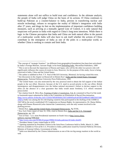statements alone will not suffice to build trust and confidence. In the ultimate analysis, the people of India will judge China on the basis of its actions. If China continues to build-up Pakistan as a counter-balance to India, persists in transferring nuclear and missile technology, refuses to recognize the reality of Sikkim's integration with India after 27 years, and drags its feet on the implementation of important confidence building measures, such as arriving at a mutually agreed Line of Control, it is only natural that suspicions will persist in India with regard to China's long term intentions. While there is logic in the Chinese perception that India and China are both natural allies in the pursuit of a multi-polar world, India will also have to ask itself whether the actions of China contribute to the emergence of India as one of the poles in a multi-polar world, or whether China is seeking to contain and limit India.

 $\overline{a}$ 

<sup>&</sup>lt;sup>1</sup>The concept of "strategic frontiers" (as different from geographical boundaries) has been best articulated by India's Foreign Minister, Jaswant Singh, in his book Defending India, Macmillan Publishers, 1999

 $2^{2}$  This is not to discount the importance of Russia and Japan, who will be the other two powers who will significantly influence the course of events in Asia. However, for the purpose of this study, focus is being restricted to India, China and the United States.

 $3$  The author is indebted to Prof. T.V. Paul of McGill University, Montreal, for having coined this term. <sup>4</sup> See discussion in the chapter on Roosevelt in Dennis Kux's India and the United States: Estranged Democracies. National Defense University Press Publications, 1992

<sup>5</sup> The United States was also motivated by the very practical need to obtain the full support of the Indian people in the war effort. However, because of the U.S. need to accord priority to the war effort, British intransigence and disappointment over the Indian national movement's failure to declare support to the allies (in the absence of a clear guarantee that India would attain freedom), U.S. efforts remained unsuccessful.

<sup>&</sup>lt;sup>6</sup> See citation from B. Shiva Rao, Framing of India's Constitution, Vol. II, contained in Para 8 of the tenth to fourteenth report submitted by India to the Committee on Elimination of Racial Discrimination. (http://www.unhchr.ch/tbs/doc.nsf/c12563e7005d936d4125611e00445ea9/a035833a480e45148025655300

<sup>37</sup>bf7e) India was among the few developing countries that participated in the drafting of the UDHR in 1947/48 by the newly established UN Commission on Human Rights. Its representative, Dr. Hansa Mehta, along with Eleanor Roosevelt (who chaired the Commission), were the only women involved in the drafting process.

<sup>&</sup>lt;sup>7</sup> Dennis Kux, India and the United States: Estranged Democracies, Pg XVIII

<sup>8</sup> *New York Times* report of June 10, 1956, cited in Dennis Kux, India and the U.S.: Estranged Democracies, pg. 128

<sup>&</sup>lt;sup>9</sup> Text of Sino – U.S. Joint Presidential statement on South Asia at http://www.chinaembassy.org/eng/7098.html

http://www.cnn.com/WORLD/asiapcf/9906/16/india.pakistan.02/index.html#1

<sup>&</sup>lt;sup>11</sup> President Jimmy Carter visited India in 1978.

 $12$  Opening statement by President Clinton in the Joint Press Conference held in Delhi, March 21, 2000. Full text available in *Visit of the U.S. President to India*; publication issued by External Publicity Division, Ministry of External Affairs, Government of India.

<sup>&</sup>lt;sup>13</sup> India was identified by the Clinton Administration as one of the ten big energy markets in the world as well.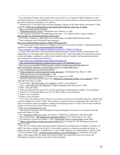<sup>14</sup> See *Unfinished Passage: India, Indian Americans and the U.S. Congress* by Robert Hathaway in the *Washington Quarterly*, Spring 2001(24:2 pp. 21-34) for an excellent article on the growing role played by the Indian American community in U.S. politics.

<sup>15</sup> Remarks by U.S. President Bush and Prime Minister Vajpayee at the White House, November 9, 2001 available at http://www.indianembassy.org/indusrel/2001/vajpayee\_bush\_nov\_9\_01.htm

<sup>16</sup> http://www.forisb.org/CE-019.html

 $\overline{a}$ 

<sup>17</sup> "*Kidnapped reporter is dead*", *Washington Post*, February 22, 2002

 $18 \text{ Joint statement}$  issued after Third Meeting of the India – U.S. Defense Policy Group available at http://meadev.nic.in/speeches/def-jtstmt-indo-us.htm

<sup>19</sup> *The Tribune*, February 4, 2002 (http://www.tribuneindia.com/2002/20020204/main5.htm)

<sup>20</sup> Press Statement on the Working Group meeting at

http://www.indianembassy.org/press\_release/2002/jan/22.htm

<sup>21</sup> "No organization will be allowed to indulge in terrorism in the name of Kashmir", President Musharraf's statement available at http://www.forisb.org/CE-019.html

 $\frac{22 \text{ http://news.bbc.co.uk/hi/english/world/americas/newsid} \times 1743000/1743326 \cdot \text{stm}}{1743000/1743326 \cdot \text{stm}}$ 

 $^{23}$  In April 1999, India discovered that Pakistani infiltrators had occupied strategic mountaintops in the Kargil District of the Indian side of the Line of Control (LOC). India responded with a powerful assault to re-take the heights, resulting in a conflict which lasted for almost 3 months, until international pressure forced Pakistan to withdraw the infiltrators.

<sup>24</sup> http://www.cnn.com/WORLD/asiapcf/9907/04/kashmir.04/

<sup>25</sup> http://timesofindia.indiatimes.com/articleshow.asp?art\_id=1048998&sType=1

<sup>26</sup>http://www.cnn.com/2002/WORLD/asiapcf/south/01/15/pakistan.powell/index.html and

http://timesofindia.indiatimes.com/articleshow.asp?art\_id=1040140&sType=1

 $^{27}$  www.whitehouse.gov/news/releases/2002/01

<sup>28</sup> *"Fears prompt U.S. to beef up nuclear terror detection"*, Washington Post, March 3, 2002

<sup>29</sup> *"Pakistani Scientist who met Bin laden."* Ibid

<sup>30</sup> *"Kidnapped reporter is dead", Washington Post*. February 22, 2002

<sup>31</sup> Article by India based reporter Qian Feng "*Behind the warming up of India – U.S. relations"*; FBIS – CHI-2001-0514 May 14, 2001.

<sup>32</sup> Article titled *" Warming India- U.S. relations"*; author's own translation

<sup>33</sup> *"U.S. – India Alliance to be influential"*, English language China Daily June 25, 2001

<sup>34</sup> FBIS –CHI-2001-0605

<sup>35</sup> Article by Zhang Wenmu, pgs 43-52, *Journal of Strategy and Management*; author's own translation

<sup>36</sup> Article by Fu Xiaoqiang, Banyue tan No. 10, 2001; Author's own translation

<sup>37</sup> Author's own translation

<sup>38</sup> Author's own translation

 $39$  A U.S. EP 3 navy patrol aircraft, while on a surveillance mission over the South China Sea, collided with a Chinese fighter jet on April 1, 2001. The Chinese jet crashed into the sea, killing the pilot, while the U.S. plane was forced to make an emergency landing in the Hainan province of China. This incident resulted in a major row between the United States and China.

<sup>40</sup> http://www.chinacommercial.org/

<sup>41</sup> Articulated by Professor Henry Harding of George Washington University, in conversation with the author on October 22, 2001.

<sup>42</sup> See *"Struggle for Mastery in Asia",* by Aaron L. Friedberg in *Commentary*, November 2000

<sup>43</sup> John J Mearsheimer, <u>The Tragedy of Great Power Politics</u>, W.W. Norton and Co. Inc. 2001

<sup>44</sup> See Michael D. Swaine and Ashley J. Tellis, Interpreting China's Grand Strategy, Rand 2000

<sup>45</sup> "*Beauty and the Beast: Chinese perceptions of the U.S.",* by Wang Jisi. *The Washington Quarterly*, March 22, 2001.

 $46$  Ibid. Also see Xinhua report quoting President Jiang Zemin as having said in an address on January 14, 2000, "the intense strategic plot by the U.S. led western countries to westernize and split-up China, is employing every stratagem…to influence us". Cited in BBC summary of world broadcasts, April 8, 2000. <sup>47</sup> See an excellent article, *"A House United: Beijing's view of Washington"* by Paul Heer in *Foreign*

*Affairs*, July/August 2000. He argues that Chinese leaders may argue about how best to deal with Washington, but they all agree on the nature of the challenge.